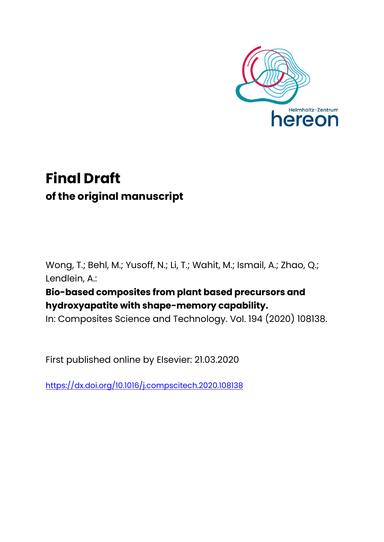

# **Final Draft of the original manuscript**

Wong, T.; Behl, M.; Yusoff, N.; Li, T.; Wahit, M.; Ismail, A.; Zhao, Q.; Lendlein, A.:

## **Bio-based composites from plant based precursors and hydroxyapatite with shape-memory capability.**

In: Composites Science and Technology. Vol. 194 (2020) 108138.

First published online by Elsevier: 21.03.2020

<https://dx.doi.org/10.1016/j.compscitech.2020.108138>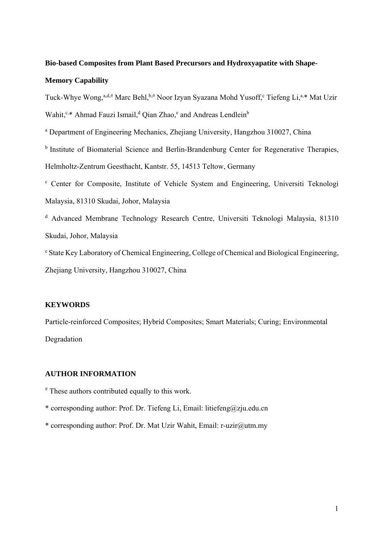### **Bio-based Composites from Plant Based Precursors and Hydroxyapatite with Shape-**

#### **Memory Capability**

Tuck-Whye Wong,<sup>a,d,#</sup> Marc Behl,<sup>b,#</sup> Noor Izyan Syazana Mohd Yusoff,<sup>c</sup> Tiefeng Li,<sup>a,\*</sup> Mat Uzir Wahit,<sup>c,\*</sup> Ahmad Fauzi Ismail,<sup>d</sup> Qian Zhao,<sup>e</sup> and Andreas Lendlein<sup>b</sup>

<sup>a</sup> Department of Engineering Mechanics, Zhejiang University, Hangzhou 310027, China

<sup>b</sup> Institute of Biomaterial Science and Berlin-Brandenburg Center for Regenerative Therapies, Helmholtz-Zentrum Geesthacht, Kantstr. 55, 14513 Teltow, Germany

<sup>c</sup> Center for Composite, Institute of Vehicle System and Engineering, Universiti Teknologi Malaysia, 81310 Skudai, Johor, Malaysia

<sup>d</sup> Advanced Membrane Technology Research Centre, Universiti Teknologi Malaysia, 81310 Skudai, Johor, Malaysia

<sup>e</sup> State Key Laboratory of Chemical Engineering, College of Chemical and Biological Engineering, Zhejiang University, Hangzhou 310027, China

#### **KEYWORDS**

Particle-reinforced Composites; Hybrid Composites; Smart Materials; Curing; Environmental Degradation

#### **AUTHOR INFORMATION**

# These authors contributed equally to this work.

\* corresponding author: Prof. Dr. Tiefeng Li, Email: litiefeng@zju.edu.cn

\* corresponding author: Prof. Dr. Mat Uzir Wahit, Email: r-uzir@utm.my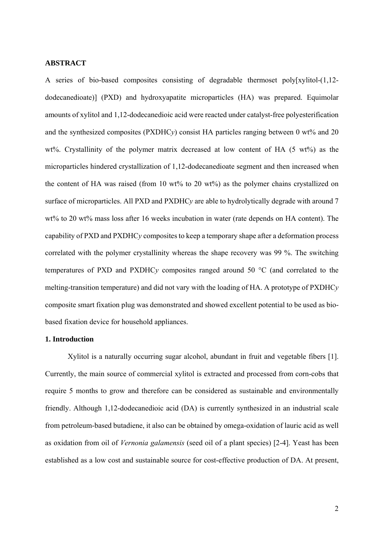#### **ABSTRACT**

A series of bio-based composites consisting of degradable thermoset poly[xylitol-(1,12 dodecanedioate)] (PXD) and hydroxyapatite microparticles (HA) was prepared. Equimolar amounts of xylitol and 1,12-dodecanedioic acid were reacted under catalyst-free polyesterification and the synthesized composites (PXDHC*y*) consist HA particles ranging between 0 wt% and 20 wt%. Crystallinity of the polymer matrix decreased at low content of HA (5 wt%) as the microparticles hindered crystallization of 1,12-dodecanedioate segment and then increased when the content of HA was raised (from 10 wt% to 20 wt%) as the polymer chains crystallized on surface of microparticles. All PXD and PXDHC*y* are able to hydrolytically degrade with around 7 wt% to 20 wt% mass loss after 16 weeks incubation in water (rate depends on HA content). The capability of PXD and PXDHC*y* composites to keep a temporary shape after a deformation process correlated with the polymer crystallinity whereas the shape recovery was 99 %. The switching temperatures of PXD and PXDHC*y* composites ranged around 50 °C (and correlated to the melting-transition temperature) and did not vary with the loading of HA. A prototype of PXDHC*y* composite smart fixation plug was demonstrated and showed excellent potential to be used as biobased fixation device for household appliances.

#### **1. Introduction**

 Xylitol is a naturally occurring sugar alcohol, abundant in fruit and vegetable fibers [1]. Currently, the main source of commercial xylitol is extracted and processed from corn-cobs that require 5 months to grow and therefore can be considered as sustainable and environmentally friendly. Although 1,12-dodecanedioic acid (DA) is currently synthesized in an industrial scale from petroleum-based butadiene, it also can be obtained by omega-oxidation of lauric acid as well as oxidation from oil of *Vernonia galamensis* (seed oil of a plant species) [2-4]. Yeast has been established as a low cost and sustainable source for cost-effective production of DA. At present,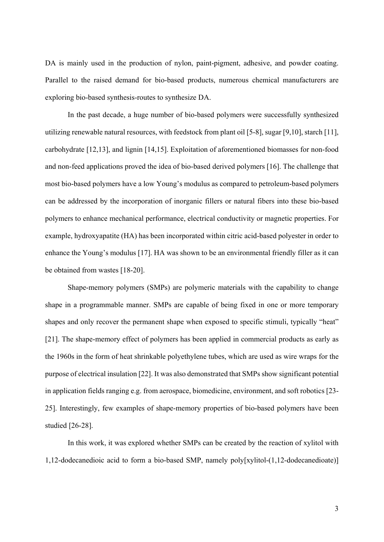DA is mainly used in the production of nylon, paint-pigment, adhesive, and powder coating. Parallel to the raised demand for bio-based products, numerous chemical manufacturers are exploring bio-based synthesis-routes to synthesize DA.

 In the past decade, a huge number of bio-based polymers were successfully synthesized utilizing renewable natural resources, with feedstock from plant oil [5-8], sugar [9,10], starch [11], carbohydrate [12,13], and lignin [14,15]. Exploitation of aforementioned biomasses for non-food and non-feed applications proved the idea of bio-based derived polymers [16]. The challenge that most bio-based polymers have a low Young's modulus as compared to petroleum-based polymers can be addressed by the incorporation of inorganic fillers or natural fibers into these bio-based polymers to enhance mechanical performance, electrical conductivity or magnetic properties. For example, hydroxyapatite (HA) has been incorporated within citric acid-based polyester in order to enhance the Young's modulus [17]. HA was shown to be an environmental friendly filler as it can be obtained from wastes [18-20].

 Shape-memory polymers (SMPs) are polymeric materials with the capability to change shape in a programmable manner. SMPs are capable of being fixed in one or more temporary shapes and only recover the permanent shape when exposed to specific stimuli, typically "heat" [21]. The shape-memory effect of polymers has been applied in commercial products as early as the 1960s in the form of heat shrinkable polyethylene tubes, which are used as wire wraps for the purpose of electrical insulation [22]. It was also demonstrated that SMPs show significant potential in application fields ranging e.g. from aerospace, biomedicine, environment, and soft robotics [23- 25]. Interestingly, few examples of shape-memory properties of bio-based polymers have been studied [26-28].

 In this work, it was explored whether SMPs can be created by the reaction of xylitol with 1,12-dodecanedioic acid to form a bio-based SMP, namely poly[xylitol-(1,12-dodecanedioate)]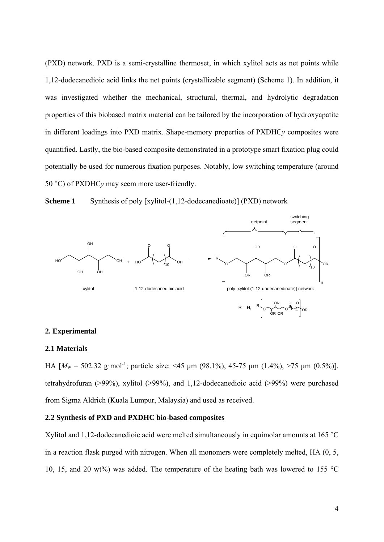(PXD) network. PXD is a semi-crystalline thermoset, in which xylitol acts as net points while 1,12-dodecanedioic acid links the net points (crystallizable segment) (Scheme 1). In addition, it was investigated whether the mechanical, structural, thermal, and hydrolytic degradation properties of this biobased matrix material can be tailored by the incorporation of hydroxyapatite in different loadings into PXD matrix. Shape-memory properties of PXDHC*y* composites were quantified. Lastly, the bio-based composite demonstrated in a prototype smart fixation plug could potentially be used for numerous fixation purposes. Notably, low switching temperature (around 50 °C) of PXDHC*y* may seem more user-friendly.





#### **2. Experimental**

#### **2.1 Materials**

HA  $[M_w = 502.32 \text{ g/mol}^{-1}$ ; particle size: <45 μm (98.1%), 45-75 μm (1.4%), >75 μm (0.5%)], tetrahydrofuran (>99%), xylitol (>99%), and 1,12-dodecanedioic acid (>99%) were purchased from Sigma Aldrich (Kuala Lumpur, Malaysia) and used as received.

#### **2.2 Synthesis of PXD and PXDHC bio-based composites**

Xylitol and 1,12-dodecanedioic acid were melted simultaneously in equimolar amounts at 165 °C in a reaction flask purged with nitrogen. When all monomers were completely melted, HA (0, 5, 10, 15, and 20 wt%) was added. The temperature of the heating bath was lowered to 155  $^{\circ}$ C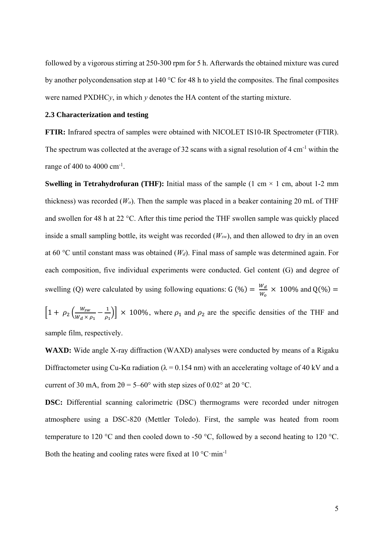followed by a vigorous stirring at 250-300 rpm for 5 h. Afterwards the obtained mixture was cured by another polycondensation step at 140 °C for 48 h to yield the composites. The final composites were named  $\text{PXDHC}\gamma$ , in which  $\gamma$  denotes the HA content of the starting mixture.

#### **2.3 Characterization and testing**

**FTIR:** Infrared spectra of samples were obtained with NICOLET IS10-IR Spectrometer (FTIR). The spectrum was collected at the average of 32 scans with a signal resolution of 4 cm<sup>-1</sup> within the range of 400 to 4000  $cm^{-1}$ .

**Swelling in Tetrahydrofuran (THF):** Initial mass of the sample  $(1 \text{ cm} \times 1 \text{ cm}, \text{ about } 1\text{-}2 \text{ mm})$ thickness) was recorded  $(W<sub>o</sub>)$ . Then the sample was placed in a beaker containing 20 mL of THF and swollen for 48 h at 22 °C. After this time period the THF swollen sample was quickly placed inside a small sampling bottle, its weight was recorded (*Wsw*), and then allowed to dry in an oven at 60 °C until constant mass was obtained (*Wd*). Final mass of sample was determined again. For each composition, five individual experiments were conducted. Gel content (G) and degree of swelling (Q) were calculated by using following equations: G (%) =  $\frac{W_d}{W_o} \times 100\%$  and Q(%) =

 $\left[1+\rho_2\left(\frac{W_{sw}}{W_d\times\rho_1}-\frac{1}{\rho_1}\right)\right]\times 100\%$ , where  $\rho_1$  and  $\rho_2$  are the specific densities of the THF and sample film, respectively.

**WAXD:** Wide angle X-ray diffraction (WAXD) analyses were conducted by means of a Rigaku Diffractometer using Cu-K $\alpha$  radiation ( $\lambda = 0.154$  nm) with an accelerating voltage of 40 kV and a current of 30 mA, from  $2\theta = 5-60^{\circ}$  with step sizes of 0.02° at 20 °C.

**DSC:** Differential scanning calorimetric (DSC) thermograms were recorded under nitrogen atmosphere using a DSC-820 (Mettler Toledo). First, the sample was heated from room temperature to 120 °C and then cooled down to -50 °C, followed by a second heating to 120 °C. Both the heating and cooling rates were fixed at  $10^{\circ}$ C $\cdot$ min<sup>-1</sup>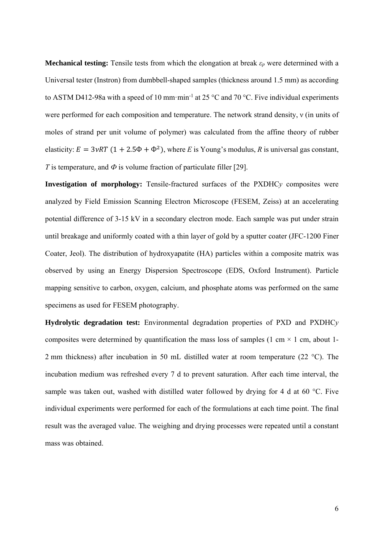**Mechanical testing:** Tensile tests from which the elongation at break  $\varepsilon_p$  were determined with a Universal tester (Instron) from dumbbell-shaped samples (thickness around 1.5 mm) as according to ASTM D412-98a with a speed of 10 mm·min<sup>-1</sup> at 25 °C and 70 °C. Five individual experiments were performed for each composition and temperature. The network strand density, ν (in units of moles of strand per unit volume of polymer) was calculated from the affine theory of rubber elasticity:  $E = 3\nu RT (1 + 2.5\Phi + \Phi^2)$ , where *E* is Young's modulus, *R* is universal gas constant, *T* is temperature, and *Ф* is volume fraction of particulate filler [29].

**Investigation of morphology:** Tensile-fractured surfaces of the PXDHC*y* composites were analyzed by Field Emission Scanning Electron Microscope (FESEM, Zeiss) at an accelerating potential difference of 3-15 kV in a secondary electron mode. Each sample was put under strain until breakage and uniformly coated with a thin layer of gold by a sputter coater (JFC-1200 Finer Coater, Jeol). The distribution of hydroxyapatite (HA) particles within a composite matrix was observed by using an Energy Dispersion Spectroscope (EDS, Oxford Instrument). Particle mapping sensitive to carbon, oxygen, calcium, and phosphate atoms was performed on the same specimens as used for FESEM photography.

**Hydrolytic degradation test:** Environmental degradation properties of PXD and PXDHC*y* composites were determined by quantification the mass loss of samples (1 cm  $\times$  1 cm, about 1-2 mm thickness) after incubation in 50 mL distilled water at room temperature (22 °C). The incubation medium was refreshed every 7 d to prevent saturation. After each time interval, the sample was taken out, washed with distilled water followed by drying for 4 d at 60 °C. Five individual experiments were performed for each of the formulations at each time point. The final result was the averaged value. The weighing and drying processes were repeated until a constant mass was obtained.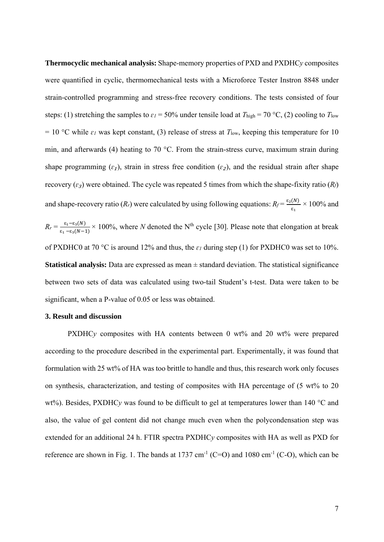**Thermocyclic mechanical analysis:** Shape-memory properties of PXD and PXDHC*y* composites were quantified in cyclic, thermomechanical tests with a Microforce Tester Instron 8848 under strain-controlled programming and stress-free recovery conditions. The tests consisted of four steps: (1) stretching the samples to  $\varepsilon_l$  = 50% under tensile load at  $T_{\text{high}}$  = 70 °C, (2) cooling to  $T_{\text{low}}$ = 10 °C while  $\varepsilon_l$  was kept constant, (3) release of stress at  $T_{low}$ , keeping this temperature for 10 min, and afterwards (4) heating to 70 °C. From the strain-stress curve, maximum strain during shape programming  $(\varepsilon_1)$ , strain in stress free condition  $(\varepsilon_2)$ , and the residual strain after shape recovery  $(\varepsilon_3)$  were obtained. The cycle was repeated 5 times from which the shape-fixity ratio  $(R_f)$ and shape-recovery ratio  $(R_r)$  were calculated by using following equations:  $R_f = \frac{\epsilon_2(N)}{\epsilon_1} \times 100\%$  and  $R_r = \frac{\varepsilon_1 - \varepsilon_3(N)}{\varepsilon_1 - \varepsilon_3(N-1)} \times 100\%$ , where *N* denoted the N<sup>th</sup> cycle [30]. Please note that elongation at break of PXDHC0 at 70 °C is around 12% and thus, the *ɛ1* during step (1) for PXDHC0 was set to 10%. **Statistical analysis:** Data are expressed as mean ± standard deviation. The statistical significance between two sets of data was calculated using two-tail Student's t-test. Data were taken to be significant, when a P-value of 0.05 or less was obtained.

#### **3. Result and discussion**

PXDHC<sub>*y*</sub> composites with HA contents between 0 wt% and 20 wt% were prepared according to the procedure described in the experimental part. Experimentally, it was found that formulation with 25 wt% of HA was too brittle to handle and thus, this research work only focuses on synthesis, characterization, and testing of composites with HA percentage of (5 wt% to 20 wt%). Besides, PXDHC<sub>*y*</sub> was found to be difficult to gel at temperatures lower than 140 °C and also, the value of gel content did not change much even when the polycondensation step was extended for an additional 24 h. FTIR spectra PXDHC*y* composites with HA as well as PXD for reference are shown in Fig. 1. The bands at 1737 cm<sup>-1</sup> (C=O) and 1080 cm<sup>-1</sup> (C-O), which can be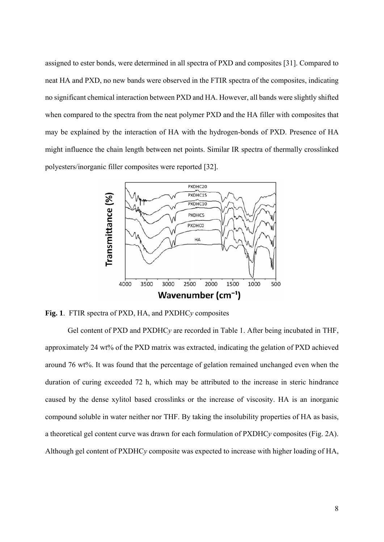assigned to ester bonds, were determined in all spectra of PXD and composites [31]. Compared to neat HA and PXD, no new bands were observed in the FTIR spectra of the composites, indicating no significant chemical interaction between PXD and HA. However, all bands were slightly shifted when compared to the spectra from the neat polymer PXD and the HA filler with composites that may be explained by the interaction of HA with the hydrogen-bonds of PXD. Presence of HA might influence the chain length between net points. Similar IR spectra of thermally crosslinked polyesters/inorganic filler composites were reported [32].



**Fig. 1**. FTIR spectra of PXD, HA, and PXDHC*y* composites

 Gel content of PXD and PXDHC*y* are recorded in Table 1. After being incubated in THF, approximately 24 wt% of the PXD matrix was extracted, indicating the gelation of PXD achieved around 76 wt%. It was found that the percentage of gelation remained unchanged even when the duration of curing exceeded 72 h, which may be attributed to the increase in steric hindrance caused by the dense xylitol based crosslinks or the increase of viscosity. HA is an inorganic compound soluble in water neither nor THF. By taking the insolubility properties of HA as basis, a theoretical gel content curve was drawn for each formulation of PXDHC*y* composites (Fig. 2A). Although gel content of PXDHC*y* composite was expected to increase with higher loading of HA,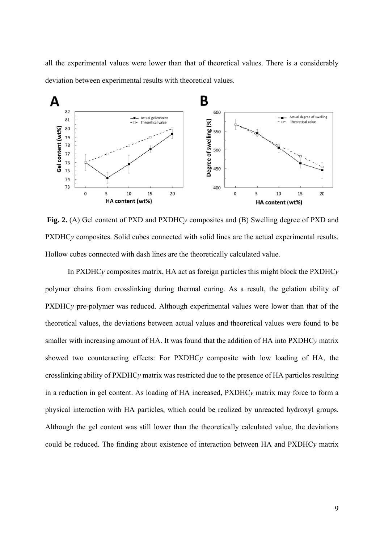all the experimental values were lower than that of theoretical values. There is a considerably deviation between experimental results with theoretical values.



**Fig. 2.** (A) Gel content of PXD and PXDHC*y* composites and (B) Swelling degree of PXD and PXDHC<sub>*y*</sub> composites. Solid cubes connected with solid lines are the actual experimental results. Hollow cubes connected with dash lines are the theoretically calculated value.

In PXDHC*y* composites matrix, HA act as foreign particles this might block the PXDHC*y* polymer chains from crosslinking during thermal curing. As a result, the gelation ability of PXDHC<sub>*y*</sub> pre-polymer was reduced. Although experimental values were lower than that of the theoretical values, the deviations between actual values and theoretical values were found to be smaller with increasing amount of HA. It was found that the addition of HA into PXDHC*y* matrix showed two counteracting effects: For PXDHC*y* composite with low loading of HA, the crosslinking ability of PXDHC*y* matrix was restricted due to the presence of HA particles resulting in a reduction in gel content. As loading of HA increased, PXDHC*y* matrix may force to form a physical interaction with HA particles, which could be realized by unreacted hydroxyl groups. Although the gel content was still lower than the theoretically calculated value, the deviations could be reduced. The finding about existence of interaction between HA and PXDHC*y* matrix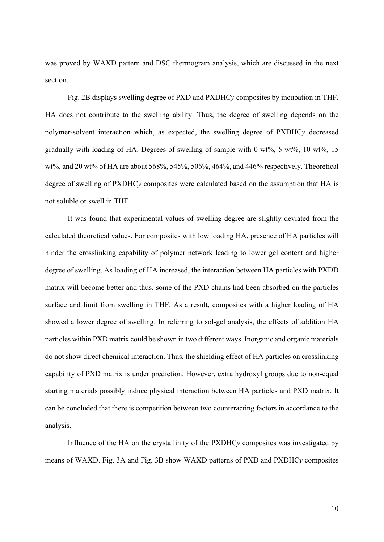was proved by WAXD pattern and DSC thermogram analysis, which are discussed in the next section.

 Fig. 2B displays swelling degree of PXD and PXDHC*y* composites by incubation in THF. HA does not contribute to the swelling ability. Thus, the degree of swelling depends on the polymer-solvent interaction which, as expected, the swelling degree of PXDHC*y* decreased gradually with loading of HA. Degrees of swelling of sample with 0 wt%,  $5 \text{ wt\%}$ ,  $10 \text{ wt\%}$ ,  $15$ wt%, and 20 wt% of HA are about 568%, 545%, 506%, 464%, and 446% respectively. Theoretical degree of swelling of PXDHC*y* composites were calculated based on the assumption that HA is not soluble or swell in THF.

 It was found that experimental values of swelling degree are slightly deviated from the calculated theoretical values. For composites with low loading HA, presence of HA particles will hinder the crosslinking capability of polymer network leading to lower gel content and higher degree of swelling. As loading of HA increased, the interaction between HA particles with PXDD matrix will become better and thus, some of the PXD chains had been absorbed on the particles surface and limit from swelling in THF. As a result, composites with a higher loading of HA showed a lower degree of swelling. In referring to sol-gel analysis, the effects of addition HA particles within PXD matrix could be shown in two different ways. Inorganic and organic materials do not show direct chemical interaction. Thus, the shielding effect of HA particles on crosslinking capability of PXD matrix is under prediction. However, extra hydroxyl groups due to non-equal starting materials possibly induce physical interaction between HA particles and PXD matrix. It can be concluded that there is competition between two counteracting factors in accordance to the analysis.

 Influence of the HA on the crystallinity of the PXDHC*y* composites was investigated by means of WAXD. Fig. 3A and Fig. 3B show WAXD patterns of PXD and PXDHC*y* composites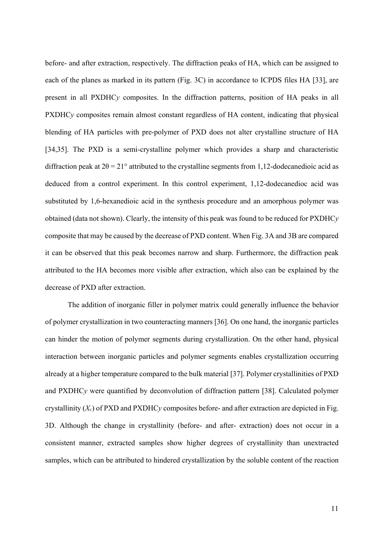before- and after extraction, respectively. The diffraction peaks of HA, which can be assigned to each of the planes as marked in its pattern (Fig. 3C) in accordance to ICPDS files HA [33], are present in all PXDHC*y* composites. In the diffraction patterns, position of HA peaks in all PXDHC<sub>y</sub> composites remain almost constant regardless of HA content, indicating that physical blending of HA particles with pre-polymer of PXD does not alter crystalline structure of HA [34,35]. The PXD is a semi-crystalline polymer which provides a sharp and characteristic diffraction peak at  $2\theta = 21^\circ$  attributed to the crystalline segments from 1,12-dodecanedioic acid as deduced from a control experiment. In this control experiment, 1,12-dodecanedioc acid was substituted by 1,6-hexanedioic acid in the synthesis procedure and an amorphous polymer was obtained (data not shown). Clearly, the intensity of this peak was found to be reduced for PXDHC*y* composite that may be caused by the decrease of PXD content. When Fig. 3A and 3B are compared it can be observed that this peak becomes narrow and sharp. Furthermore, the diffraction peak attributed to the HA becomes more visible after extraction, which also can be explained by the decrease of PXD after extraction.

 The addition of inorganic filler in polymer matrix could generally influence the behavior of polymer crystallization in two counteracting manners [36]. On one hand, the inorganic particles can hinder the motion of polymer segments during crystallization. On the other hand, physical interaction between inorganic particles and polymer segments enables crystallization occurring already at a higher temperature compared to the bulk material [37]. Polymer crystallinities of PXD and PXDHC*y* were quantified by deconvolution of diffraction pattern [38]. Calculated polymer crystallinity  $(X_c)$  of PXD and PXDHC<sub>V</sub> composites before- and after extraction are depicted in Fig. 3D. Although the change in crystallinity (before- and after- extraction) does not occur in a consistent manner, extracted samples show higher degrees of crystallinity than unextracted samples, which can be attributed to hindered crystallization by the soluble content of the reaction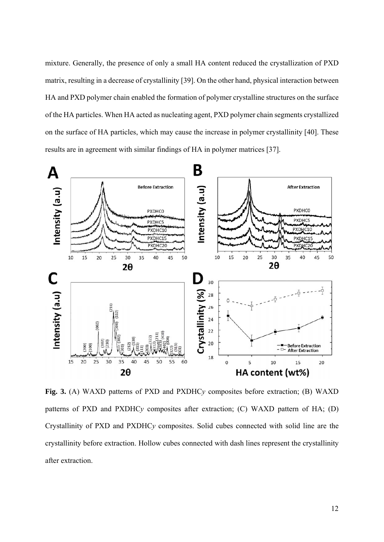mixture. Generally, the presence of only a small HA content reduced the crystallization of PXD matrix, resulting in a decrease of crystallinity [39]. On the other hand, physical interaction between HA and PXD polymer chain enabled the formation of polymer crystalline structures on the surface of the HA particles. When HA acted as nucleating agent, PXD polymer chain segments crystallized on the surface of HA particles, which may cause the increase in polymer crystallinity [40]. These results are in agreement with similar findings of HA in polymer matrices [37].



**Fig. 3.** (A) WAXD patterns of PXD and PXDHC*y* composites before extraction; (B) WAXD patterns of PXD and PXDHC*y* composites after extraction; (C) WAXD pattern of HA; (D) Crystallinity of PXD and PXDHC*y* composites. Solid cubes connected with solid line are the crystallinity before extraction. Hollow cubes connected with dash lines represent the crystallinity after extraction.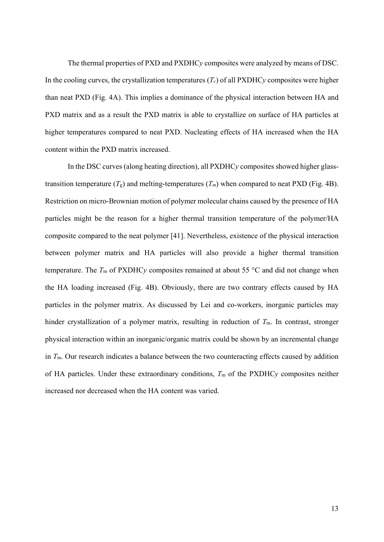The thermal properties of PXD and PXDHC*y* composites were analyzed by means of DSC. In the cooling curves, the crystallization temperatures  $(T_c)$  of all PXDHC<sub>*y*</sub> composites were higher than neat PXD (Fig. 4A). This implies a dominance of the physical interaction between HA and PXD matrix and as a result the PXD matrix is able to crystallize on surface of HA particles at higher temperatures compared to neat PXD. Nucleating effects of HA increased when the HA content within the PXD matrix increased.

 In the DSC curves (along heating direction), all PXDHC*y* composites showed higher glasstransition temperature  $(T_g)$  and melting-temperatures  $(T_m)$  when compared to neat PXD (Fig. 4B). Restriction on micro-Brownian motion of polymer molecular chains caused by the presence of HA particles might be the reason for a higher thermal transition temperature of the polymer/HA composite compared to the neat polymer [41]. Nevertheless, existence of the physical interaction between polymer matrix and HA particles will also provide a higher thermal transition temperature. The  $T_m$  of PXDHC<sub>V</sub> composites remained at about 55  $\degree$ C and did not change when the HA loading increased (Fig. 4B). Obviously, there are two contrary effects caused by HA particles in the polymer matrix. As discussed by Lei and co-workers, inorganic particles may hinder crystallization of a polymer matrix, resulting in reduction of  $T<sub>m</sub>$ . In contrast, stronger physical interaction within an inorganic/organic matrix could be shown by an incremental change in *T*m. Our research indicates a balance between the two counteracting effects caused by addition of HA particles. Under these extraordinary conditions,  $T_m$  of the PXDHC<sub>V</sub> composites neither increased nor decreased when the HA content was varied.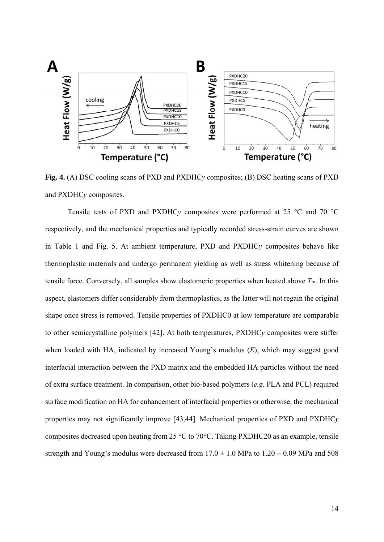

**Fig. 4.** (A) DSC cooling scans of PXD and PXDHC*y* composites; (B) DSC heating scans of PXD and PXDHC*y* composites.

 Tensile tests of PXD and PXDHC*y* composites were performed at 25 °C and 70 °C respectively, and the mechanical properties and typically recorded stress-strain curves are shown in Table 1 and Fig. 5. At ambient temperature, PXD and PXDHC*y* composites behave like thermoplastic materials and undergo permanent yielding as well as stress whitening because of tensile force. Conversely, all samples show elastomeric properties when heated above *T*m. In this aspect, elastomers differ considerably from thermoplastics, as the latter will not regain the original shape once stress is removed. Tensile properties of PXDHC0 at low temperature are comparable to other semicrystalline polymers [42]. At both temperatures, PXDHC*y* composites were stiffer when loaded with HA, indicated by increased Young's modulus (*E*), which may suggest good interfacial interaction between the PXD matrix and the embedded HA particles without the need of extra surface treatment. In comparison, other bio-based polymers (*e.g.* PLA and PCL) required surface modification on HA for enhancement of interfacial properties or otherwise, the mechanical properties may not significantly improve [43,44]. Mechanical properties of PXD and PXDHC*y* composites decreased upon heating from 25 °C to 70°C. Taking PXDHC20 as an example, tensile strength and Young's modulus were decreased from  $17.0 \pm 1.0$  MPa to  $1.20 \pm 0.09$  MPa and 508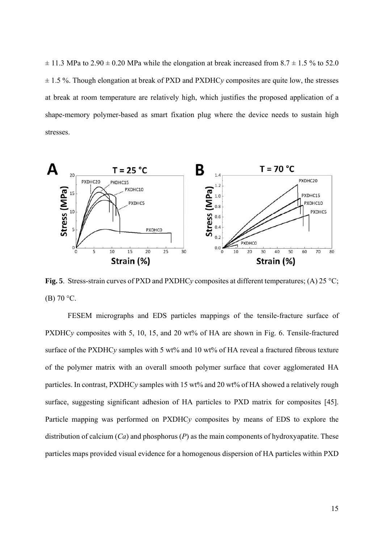$\pm$  11.3 MPa to 2.90  $\pm$  0.20 MPa while the elongation at break increased from 8.7  $\pm$  1.5 % to 52.0 ± 1.5 %. Though elongation at break of PXD and PXDHC*y* composites are quite low, the stresses at break at room temperature are relatively high, which justifies the proposed application of a shape-memory polymer-based as smart fixation plug where the device needs to sustain high stresses.



**Fig. 5**. Stress-strain curves of PXD and PXDHC*y* composites at different temperatures; (A) 25 °C; (B) 70 °C.

 FESEM micrographs and EDS particles mappings of the tensile-fracture surface of PXDHC<sub>y</sub> composites with 5, 10, 15, and 20 wt% of HA are shown in Fig. 6. Tensile-fractured surface of the PXDHC<sub>*y*</sub> samples with 5 wt% and 10 wt% of HA reveal a fractured fibrous texture of the polymer matrix with an overall smooth polymer surface that cover agglomerated HA particles. In contrast, PXDHC*y* samples with 15 wt% and 20 wt% of HA showed a relatively rough surface, suggesting significant adhesion of HA particles to PXD matrix for composites [45]. Particle mapping was performed on PXDHC*y* composites by means of EDS to explore the distribution of calcium (*Ca*) and phosphorus (*P*) as the main components of hydroxyapatite. These particles maps provided visual evidence for a homogenous dispersion of HA particles within PXD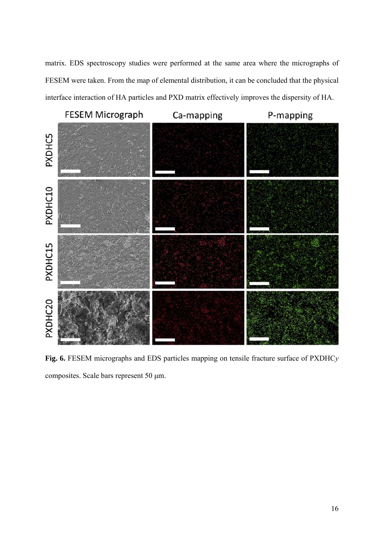matrix. EDS spectroscopy studies were performed at the same area where the micrographs of FESEM were taken. From the map of elemental distribution, it can be concluded that the physical interface interaction of HA particles and PXD matrix effectively improves the dispersity of HA.

**FESEM Micrograph** 

Ca-mapping

P-mapping



**Fig. 6.** FESEM micrographs and EDS particles mapping on tensile fracture surface of PXDHC*y* composites. Scale bars represent 50 μm.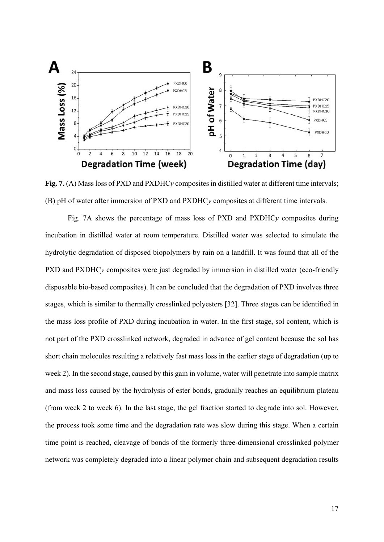

**Fig. 7.** (A) Mass loss of PXD and PXDHC*y* composites in distilled water at different time intervals; (B) pH of water after immersion of PXD and PXDHC*y* composites at different time intervals.

 Fig. 7A shows the percentage of mass loss of PXD and PXDHC*y* composites during incubation in distilled water at room temperature. Distilled water was selected to simulate the hydrolytic degradation of disposed biopolymers by rain on a landfill. It was found that all of the PXD and PXDHC<sub>*y*</sub> composites were just degraded by immersion in distilled water (eco-friendly disposable bio-based composites). It can be concluded that the degradation of PXD involves three stages, which is similar to thermally crosslinked polyesters [32]. Three stages can be identified in the mass loss profile of PXD during incubation in water. In the first stage, sol content, which is not part of the PXD crosslinked network, degraded in advance of gel content because the sol has short chain molecules resulting a relatively fast mass loss in the earlier stage of degradation (up to week 2). In the second stage, caused by this gain in volume, water will penetrate into sample matrix and mass loss caused by the hydrolysis of ester bonds, gradually reaches an equilibrium plateau (from week 2 to week 6). In the last stage, the gel fraction started to degrade into sol. However, the process took some time and the degradation rate was slow during this stage. When a certain time point is reached, cleavage of bonds of the formerly three-dimensional crosslinked polymer network was completely degraded into a linear polymer chain and subsequent degradation results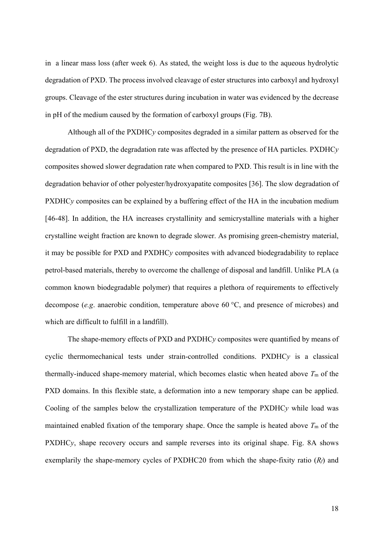in a linear mass loss (after week 6). As stated, the weight loss is due to the aqueous hydrolytic degradation of PXD. The process involved cleavage of ester structures into carboxyl and hydroxyl groups. Cleavage of the ester structures during incubation in water was evidenced by the decrease in pH of the medium caused by the formation of carboxyl groups (Fig. 7B).

 Although all of the PXDHC*y* composites degraded in a similar pattern as observed for the degradation of PXD, the degradation rate was affected by the presence of HA particles. PXDHC*y* composites showed slower degradation rate when compared to PXD. This result is in line with the degradation behavior of other polyester/hydroxyapatite composites [36]. The slow degradation of PXDHC<sub>*y*</sub> composites can be explained by a buffering effect of the HA in the incubation medium [46-48]. In addition, the HA increases crystallinity and semicrystalline materials with a higher crystalline weight fraction are known to degrade slower. As promising green-chemistry material, it may be possible for PXD and PXDHC*y* composites with advanced biodegradability to replace petrol-based materials, thereby to overcome the challenge of disposal and landfill. Unlike PLA (a common known biodegradable polymer) that requires a plethora of requirements to effectively decompose (*e.g*. anaerobic condition, temperature above 60 °C, and presence of microbes) and which are difficult to fulfill in a landfill).

 The shape-memory effects of PXD and PXDHC*y* composites were quantified by means of cyclic thermomechanical tests under strain-controlled conditions. PXDHC*y* is a classical thermally-induced shape-memory material, which becomes elastic when heated above *T*m of the PXD domains. In this flexible state, a deformation into a new temporary shape can be applied. Cooling of the samples below the crystallization temperature of the PXDHC*y* while load was maintained enabled fixation of the temporary shape. Once the sample is heated above  $T<sub>m</sub>$  of the PXDHC<sub>*y*</sub>, shape recovery occurs and sample reverses into its original shape. Fig. 8A shows exemplarily the shape-memory cycles of PXDHC20 from which the shape-fixity ratio (*Rf*) and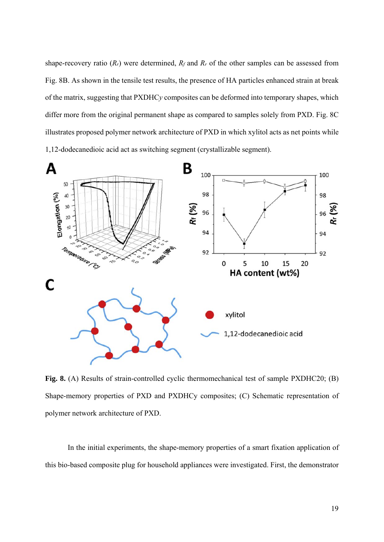shape-recovery ratio  $(R_r)$  were determined,  $R_f$  and  $R_r$  of the other samples can be assessed from Fig. 8B. As shown in the tensile test results, the presence of HA particles enhanced strain at break of the matrix, suggesting that PXDHC*y* composites can be deformed into temporary shapes, which differ more from the original permanent shape as compared to samples solely from PXD. Fig. 8C illustrates proposed polymer network architecture of PXD in which xylitol acts as net points while 1,12-dodecanedioic acid act as switching segment (crystallizable segment).



**Fig. 8.** (A) Results of strain-controlled cyclic thermomechanical test of sample PXDHC20; (B) Shape-memory properties of PXD and PXDHCy composites; (C) Schematic representation of polymer network architecture of PXD.

 In the initial experiments, the shape-memory properties of a smart fixation application of this bio-based composite plug for household appliances were investigated. First, the demonstrator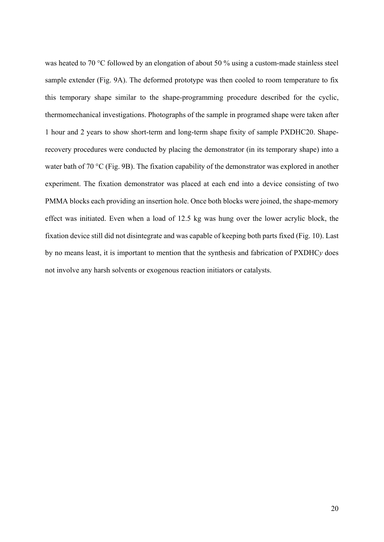was heated to 70 °C followed by an elongation of about 50 % using a custom-made stainless steel sample extender (Fig. 9A). The deformed prototype was then cooled to room temperature to fix this temporary shape similar to the shape-programming procedure described for the cyclic, thermomechanical investigations. Photographs of the sample in programed shape were taken after 1 hour and 2 years to show short-term and long-term shape fixity of sample PXDHC20. Shaperecovery procedures were conducted by placing the demonstrator (in its temporary shape) into a water bath of 70 °C (Fig. 9B). The fixation capability of the demonstrator was explored in another experiment. The fixation demonstrator was placed at each end into a device consisting of two PMMA blocks each providing an insertion hole. Once both blocks were joined, the shape-memory effect was initiated. Even when a load of 12.5 kg was hung over the lower acrylic block, the fixation device still did not disintegrate and was capable of keeping both parts fixed (Fig. 10). Last by no means least, it is important to mention that the synthesis and fabrication of PXDHC*y* does not involve any harsh solvents or exogenous reaction initiators or catalysts.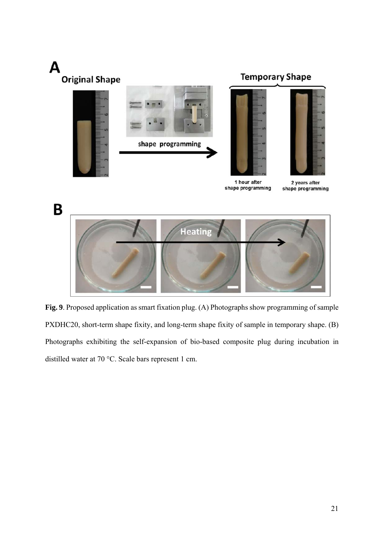

**Fig. 9**. Proposed application as smart fixation plug. (A) Photographs show programming of sample PXDHC20, short-term shape fixity, and long-term shape fixity of sample in temporary shape. (B) Photographs exhibiting the self-expansion of bio-based composite plug during incubation in distilled water at 70 °C. Scale bars represent 1 cm.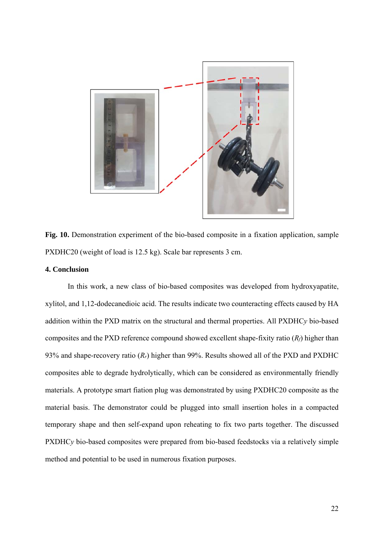

**Fig. 10.** Demonstration experiment of the bio-based composite in a fixation application, sample PXDHC20 (weight of load is 12.5 kg). Scale bar represents 3 cm.

#### **4. Conclusion**

 In this work, a new class of bio-based composites was developed from hydroxyapatite, xylitol, and 1,12-dodecanedioic acid. The results indicate two counteracting effects caused by HA addition within the PXD matrix on the structural and thermal properties. All PXDHC*y* bio-based composites and the PXD reference compound showed excellent shape-fixity ratio (*Rf*) higher than 93% and shape-recovery ratio (*Rr*) higher than 99%. Results showed all of the PXD and PXDHC composites able to degrade hydrolytically, which can be considered as environmentally friendly materials. A prototype smart fiation plug was demonstrated by using PXDHC20 composite as the material basis. The demonstrator could be plugged into small insertion holes in a compacted temporary shape and then self-expand upon reheating to fix two parts together. The discussed PXDHC<sub>y</sub> bio-based composites were prepared from bio-based feedstocks via a relatively simple method and potential to be used in numerous fixation purposes.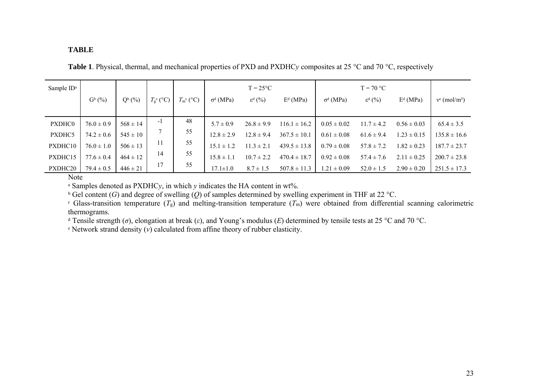#### **TABLE**

**Table 1**. Physical, thermal, and mechanical properties of PXD and PXDHC*y* composites at 25 °C and 70 °C, respectively

| Sample ID <sup>a</sup> |                |              |                          |                          |                  | $T = 25^{\circ}C$        |                  |                  | $T = 70 °C$           |                 |                             |
|------------------------|----------------|--------------|--------------------------|--------------------------|------------------|--------------------------|------------------|------------------|-----------------------|-----------------|-----------------------------|
|                        | $G^b$ $(\%)$   | $Q^b$ (%)    | $T_{\rm g}^{\rm c}$ (°C) | $T_{\rm m}^{\rm c}$ (°C) | $\sigma^d$ (MPa) | $\varepsilon^{d}$ $(\%)$ | $Ed$ (MPa)       | $\sigma^d$ (MPa) | $\varepsilon^{d}$ (%) | $Ed$ (MPa)      | $v^e$ (mol/m <sup>3</sup> ) |
|                        |                |              |                          |                          |                  |                          |                  |                  |                       |                 |                             |
| PXDHC0                 | $76.0 \pm 0.9$ | $568 \pm 14$ | -1                       | 48                       | $5.7 \pm 0.9$    | $26.8 \pm 9.9$           | $116.1 \pm 16.2$ | $0.05 \pm 0.02$  | $11.7 \pm 4.2$        | $0.56 \pm 0.03$ | $65.4 \pm 3.5$              |
| PXDHC5                 | $74.2 \pm 0.6$ | $545 \pm 10$ |                          | 55                       | $12.8 \pm 2.9$   | $12.8 \pm 9.4$           | $367.5 \pm 10.1$ | $0.61 \pm 0.08$  | $61.6 \pm 9.4$        | $1.23 \pm 0.15$ | $135.8 \pm 16.6$            |
| PXDHC10                | $76.0 \pm 1.0$ | $506 \pm 13$ | 11                       | 55                       | $15.1 \pm 1.2$   | $11.3 \pm 2.1$           | $439.5 \pm 13.8$ | $0.79 \pm 0.08$  | $57.8 \pm 7.2$        | $1.82 \pm 0.23$ | $187.7 \pm 23.7$            |
| PXDHC15                | $77.6 \pm 0.4$ | $464 \pm 12$ | 14                       | 55                       | $15.8 \pm 1.1$   | $10.7 \pm 2.2$           | $470.4 \pm 18.7$ | $0.92 \pm 0.08$  | $57.4 \pm 7.6$        | $2.11 \pm 0.25$ | $200.7 \pm 23.8$            |
| PXDHC20                | $79.4 \pm 0.5$ | $446 \pm 21$ | 17                       | 55                       | $17.1 \pm 1.0$   | $8.7 \pm 1.5$            | $507.8 \pm 11.3$ | $1.21 \pm 0.09$  | $52.0 \pm 1.5$        | $2.90 \pm 0.20$ | $251.5 \pm 17.3$            |

**Note** 

<sup>ᵃ</sup> Samples denoted as PXDHC*y*, in which *y* indicates the HA content in wt%.

<sup>b</sup> Gel content (*G*) and degree of swelling (*Q*) of samples determined by swelling experiment in THF at 22 °C.

 $\epsilon$  Glass-transition temperature  $(T_g)$  and melting-transition temperature  $(T_m)$  were obtained from differential scanning calorimetric thermograms.

<sup>d</sup> Tensile strength (*σ*), elongation at break (*ε*), and Young's modulus (*E*) determined by tensile tests at 25 °C and 70 °C.

<sup>ᵉ</sup> Network strand density (*ν*) calculated from affine theory of rubber elasticity.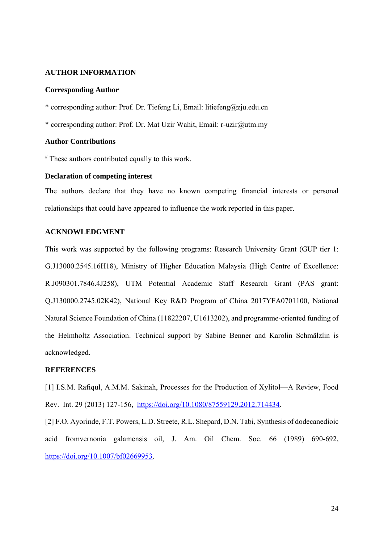#### **AUTHOR INFORMATION**

#### **Corresponding Author**

\* corresponding author: Prof. Dr. Tiefeng Li, Email: litiefeng@zju.edu.cn

\* corresponding author: Prof. Dr. Mat Uzir Wahit, Email: r-uzir@utm.my

#### **Author Contributions**

# These authors contributed equally to this work.

#### **Declaration of competing interest**

The authors declare that they have no known competing financial interests or personal relationships that could have appeared to influence the work reported in this paper.

#### **ACKNOWLEDGMENT**

This work was supported by the following programs: Research University Grant (GUP tier 1: G.J13000.2545.16H18), Ministry of Higher Education Malaysia (High Centre of Excellence: R.J090301.7846.4J258), UTM Potential Academic Staff Research Grant (PAS grant: Q.J130000.2745.02K42), National Key R&D Program of China 2017YFA0701100, National Natural Science Foundation of China (11822207, U1613202), and programme-oriented funding of the Helmholtz Association. Technical support by Sabine Benner and Karolin Schmälzlin is acknowledged.

#### **REFERENCES**

[1] I.S.M. Rafiqul, A.M.M. Sakinah, Processes for the Production of Xylitol—A Review, Food Rev. Int. 29 (2013) 127-156, https://doi.org/10.1080/87559129.2012.714434.

[2] F.O. Ayorinde, F.T. Powers, L.D. Streete, R.L. Shepard, D.N. Tabi, Synthesis of dodecanedioic acid fromvernonia galamensis oil, J. Am. Oil Chem. Soc. 66 (1989) 690-692, https://doi.org/10.1007/bf02669953.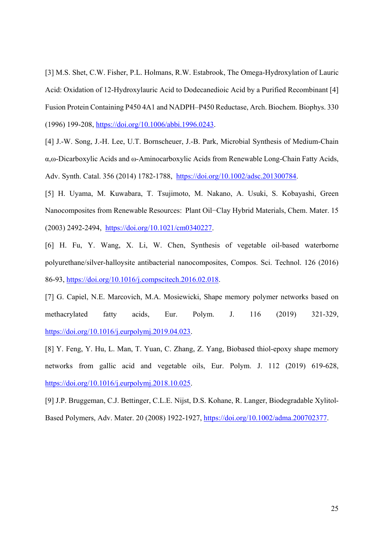[3] M.S. Shet, C.W. Fisher, P.L. Holmans, R.W. Estabrook, The Omega-Hydroxylation of Lauric Acid: Oxidation of 12-Hydroxylauric Acid to Dodecanedioic Acid by a Purified Recombinant [4] Fusion Protein Containing P450 4A1 and NADPH–P450 Reductase, Arch. Biochem. Biophys. 330 (1996) 199-208, https://doi.org/10.1006/abbi.1996.0243.

[4] J.-W. Song, J.-H. Lee, U.T. Bornscheuer, J.-B. Park, Microbial Synthesis of Medium-Chain α,ω-Dicarboxylic Acids and ω-Aminocarboxylic Acids from Renewable Long-Chain Fatty Acids, Adv. Synth. Catal. 356 (2014) 1782-1788, https://doi.org/10.1002/adsc.201300784.

[5] H. Uyama, M. Kuwabara, T. Tsujimoto, M. Nakano, A. Usuki, S. Kobayashi, Green Nanocomposites from Renewable Resources: Plant Oil−Clay Hybrid Materials, Chem. Mater. 15 (2003) 2492-2494, https://doi.org/10.1021/cm0340227.

[6] H. Fu, Y. Wang, X. Li, W. Chen, Synthesis of vegetable oil-based waterborne polyurethane/silver-halloysite antibacterial nanocomposites, Compos. Sci. Technol. 126 (2016) 86-93, https://doi.org/10.1016/j.compscitech.2016.02.018.

[7] G. Capiel, N.E. Marcovich, M.A. Mosiewicki, Shape memory polymer networks based on methacrylated fatty acids, Eur. Polym. J. 116 (2019) 321-329, https://doi.org/10.1016/j.eurpolymj.2019.04.023.

[8] Y. Feng, Y. Hu, L. Man, T. Yuan, C. Zhang, Z. Yang, Biobased thiol-epoxy shape memory networks from gallic acid and vegetable oils, Eur. Polym. J. 112 (2019) 619-628, https://doi.org/10.1016/j.eurpolymj.2018.10.025.

[9] J.P. Bruggeman, C.J. Bettinger, C.L.E. Nijst, D.S. Kohane, R. Langer, Biodegradable Xylitol-Based Polymers, Adv. Mater. 20 (2008) 1922-1927, https://doi.org/10.1002/adma.200702377.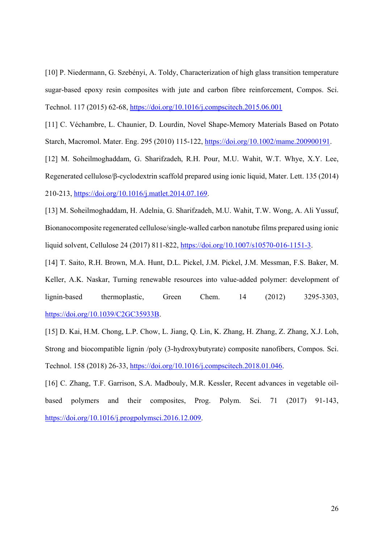[10] P. Niedermann, G. Szebényi, A. Toldy, Characterization of high glass transition temperature sugar-based epoxy resin composites with jute and carbon fibre reinforcement, Compos. Sci. Technol. 117 (2015) 62-68, https://doi.org/10.1016/j.compscitech.2015.06.001

[11] C. Véchambre, L. Chaunier, D. Lourdin, Novel Shape-Memory Materials Based on Potato Starch, Macromol. Mater. Eng. 295 (2010) 115-122, https://doi.org/10.1002/mame.200900191.

[12] M. Soheilmoghaddam, G. Sharifzadeh, R.H. Pour, M.U. Wahit, W.T. Whye, X.Y. Lee, Regenerated cellulose/β-cyclodextrin scaffold prepared using ionic liquid, Mater. Lett. 135 (2014) 210-213, https://doi.org/10.1016/j.matlet.2014.07.169.

[13] M. Soheilmoghaddam, H. Adelnia, G. Sharifzadeh, M.U. Wahit, T.W. Wong, A. Ali Yussuf, Bionanocomposite regenerated cellulose/single-walled carbon nanotube films prepared using ionic liquid solvent, Cellulose 24 (2017) 811-822, https://doi.org/10.1007/s10570-016-1151-3.

[14] T. Saito, R.H. Brown, M.A. Hunt, D.L. Pickel, J.M. Pickel, J.M. Messman, F.S. Baker, M. Keller, A.K. Naskar, Turning renewable resources into value-added polymer: development of lignin-based thermoplastic, Green Chem. 14 (2012) 3295-3303, https://doi.org/10.1039/C2GC35933B.

[15] D. Kai, H.M. Chong, L.P. Chow, L. Jiang, Q. Lin, K. Zhang, H. Zhang, Z. Zhang, X.J. Loh, Strong and biocompatible lignin /poly (3-hydroxybutyrate) composite nanofibers, Compos. Sci. Technol. 158 (2018) 26-33, https://doi.org/10.1016/j.compscitech.2018.01.046.

[16] C. Zhang, T.F. Garrison, S.A. Madbouly, M.R. Kessler, Recent advances in vegetable oilbased polymers and their composites, Prog. Polym. Sci. 71 (2017) 91-143, https://doi.org/10.1016/j.progpolymsci.2016.12.009.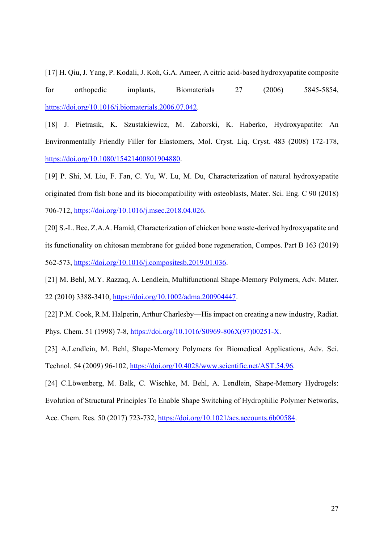[17] H. Qiu, J. Yang, P. Kodali, J. Koh, G.A. Ameer, A citric acid-based hydroxyapatite composite for orthopedic implants, Biomaterials 27 (2006) 5845-5854, https://doi.org/10.1016/j.biomaterials.2006.07.042.

[18] J. Pietrasik, K. Szustakiewicz, M. Zaborski, K. Haberko, Hydroxyapatite: An Environmentally Friendly Filler for Elastomers, Mol. Cryst. Liq. Cryst. 483 (2008) 172-178, https://doi.org/10.1080/15421400801904880.

[19] P. Shi, M. Liu, F. Fan, C. Yu, W. Lu, M. Du, Characterization of natural hydroxyapatite originated from fish bone and its biocompatibility with osteoblasts, Mater. Sci. Eng. C 90 (2018) 706-712, https://doi.org/10.1016/j.msec.2018.04.026.

[20] S.-L. Bee, Z.A.A. Hamid, Characterization of chicken bone waste-derived hydroxyapatite and its functionality on chitosan membrane for guided bone regeneration, Compos. Part B 163 (2019) 562-573, https://doi.org/10.1016/j.compositesb.2019.01.036.

[21] M. Behl, M.Y. Razzaq, A. Lendlein, Multifunctional Shape-Memory Polymers, Adv. Mater. 22 (2010) 3388-3410, https://doi.org/10.1002/adma.200904447.

[22] P.M. Cook, R.M. Halperin, Arthur Charlesby—His impact on creating a new industry, Radiat. Phys. Chem. 51 (1998) 7-8, https://doi.org/10.1016/S0969-806X(97)00251-X.

[23] A.Lendlein, M. Behl, Shape-Memory Polymers for Biomedical Applications, Adv. Sci. Technol. 54 (2009) 96-102, https://doi.org/10.4028/www.scientific.net/AST.54.96.

[24] C.Löwenberg, M. Balk, C. Wischke, M. Behl, A. Lendlein, Shape-Memory Hydrogels: Evolution of Structural Principles To Enable Shape Switching of Hydrophilic Polymer Networks, Acc. Chem. Res. 50 (2017) 723-732, https://doi.org/10.1021/acs.accounts.6b00584.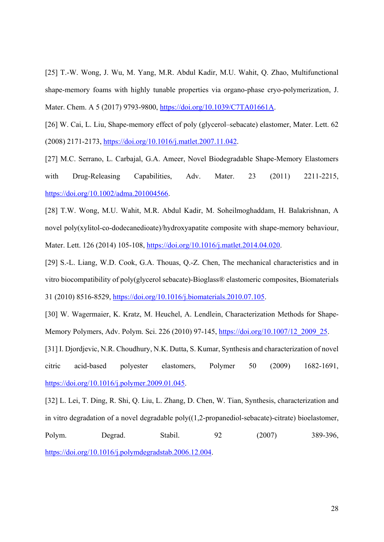[25] T.-W. Wong, J. Wu, M. Yang, M.R. Abdul Kadir, M.U. Wahit, Q. Zhao, Multifunctional shape-memory foams with highly tunable properties via organo-phase cryo-polymerization, J. Mater. Chem. A 5 (2017) 9793-9800, https://doi.org/10.1039/C7TA01661A.

[26] W. Cai, L. Liu, Shape-memory effect of poly (glycerol–sebacate) elastomer, Mater. Lett. 62 (2008) 2171-2173, https://doi.org/10.1016/j.matlet.2007.11.042.

[27] M.C. Serrano, L. Carbajal, G.A. Ameer, Novel Biodegradable Shape-Memory Elastomers with Drug-Releasing Capabilities, Adv. Mater. 23 (2011) 2211-2215, https://doi.org/10.1002/adma.201004566.

[28] T.W. Wong, M.U. Wahit, M.R. Abdul Kadir, M. Soheilmoghaddam, H. Balakrishnan, A novel poly(xylitol-co-dodecanedioate)/hydroxyapatite composite with shape-memory behaviour, Mater. Lett. 126 (2014) 105-108, https://doi.org/10.1016/j.matlet.2014.04.020.

[29] S.-L. Liang, W.D. Cook, G.A. Thouas, Q.-Z. Chen, The mechanical characteristics and in vitro biocompatibility of poly(glycerol sebacate)-Bioglass® elastomeric composites, Biomaterials 31 (2010) 8516-8529, https://doi.org/10.1016/j.biomaterials.2010.07.105.

[30] W. Wagermaier, K. Kratz, M. Heuchel, A. Lendlein, Characterization Methods for Shape-Memory Polymers, Adv. Polym. Sci. 226 (2010) 97-145, https://doi.org/10.1007/12\_2009\_25.

[31] I. Djordjevic, N.R. Choudhury, N.K. Dutta, S. Kumar, Synthesis and characterization of novel citric acid-based polyester elastomers, Polymer 50 (2009) 1682-1691, https://doi.org/10.1016/j.polymer.2009.01.045.

[32] L. Lei, T. Ding, R. Shi, Q. Liu, L. Zhang, D. Chen, W. Tian, Synthesis, characterization and in vitro degradation of a novel degradable poly((1,2-propanediol-sebacate)-citrate) bioelastomer, Polym. Degrad. Stabil. 92 (2007) 389-396, https://doi.org/10.1016/j.polymdegradstab.2006.12.004.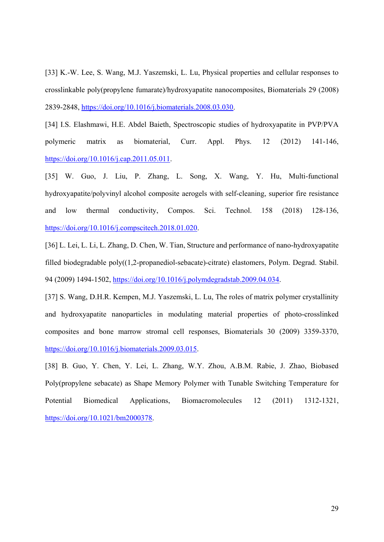[33] K.-W. Lee, S. Wang, M.J. Yaszemski, L. Lu, Physical properties and cellular responses to crosslinkable poly(propylene fumarate)/hydroxyapatite nanocomposites, Biomaterials 29 (2008) 2839-2848, https://doi.org/10.1016/j.biomaterials.2008.03.030.

[34] I.S. Elashmawi, H.E. Abdel Baieth, Spectroscopic studies of hydroxyapatite in PVP/PVA polymeric matrix as biomaterial, Curr. Appl. Phys. 12 (2012) 141-146, https://doi.org/10.1016/j.cap.2011.05.011.

[35] W. Guo, J. Liu, P. Zhang, L. Song, X. Wang, Y. Hu, Multi-functional hydroxyapatite/polyvinyl alcohol composite aerogels with self-cleaning, superior fire resistance and low thermal conductivity, Compos. Sci. Technol. 158 (2018) 128-136, https://doi.org/10.1016/j.compscitech.2018.01.020.

[36] L. Lei, L. Li, L. Zhang, D. Chen, W. Tian, Structure and performance of nano-hydroxyapatite filled biodegradable poly((1,2-propanediol-sebacate)-citrate) elastomers, Polym. Degrad. Stabil. 94 (2009) 1494-1502, https://doi.org/10.1016/j.polymdegradstab.2009.04.034.

[37] S. Wang, D.H.R. Kempen, M.J. Yaszemski, L. Lu, The roles of matrix polymer crystallinity and hydroxyapatite nanoparticles in modulating material properties of photo-crosslinked composites and bone marrow stromal cell responses, Biomaterials 30 (2009) 3359-3370, https://doi.org/10.1016/j.biomaterials.2009.03.015.

[38] B. Guo, Y. Chen, Y. Lei, L. Zhang, W.Y. Zhou, A.B.M. Rabie, J. Zhao, Biobased Poly(propylene sebacate) as Shape Memory Polymer with Tunable Switching Temperature for Potential Biomedical Applications, Biomacromolecules 12 (2011) 1312-1321, https://doi.org/10.1021/bm2000378.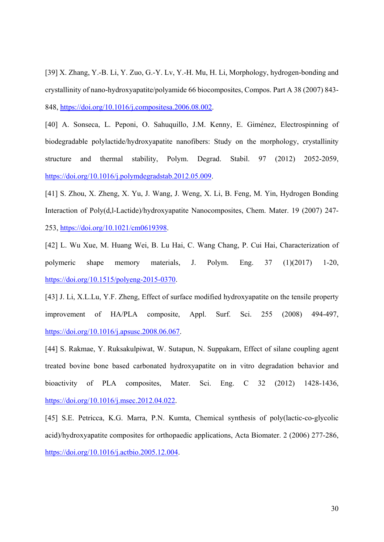[39] X. Zhang, Y.-B. Li, Y. Zuo, G.-Y. Lv, Y.-H. Mu, H. Li, Morphology, hydrogen-bonding and crystallinity of nano-hydroxyapatite/polyamide 66 biocomposites, Compos. Part A 38 (2007) 843- 848, https://doi.org/10.1016/j.compositesa.2006.08.002.

[40] A. Sonseca, L. Peponi, O. Sahuquillo, J.M. Kenny, E. Giménez, Electrospinning of biodegradable polylactide/hydroxyapatite nanofibers: Study on the morphology, crystallinity structure and thermal stability, Polym. Degrad. Stabil. 97 (2012) 2052-2059, https://doi.org/10.1016/j.polymdegradstab.2012.05.009.

[41] S. Zhou, X. Zheng, X. Yu, J. Wang, J. Weng, X. Li, B. Feng, M. Yin, Hydrogen Bonding Interaction of Poly(d,l-Lactide)/hydroxyapatite Nanocomposites, Chem. Mater. 19 (2007) 247- 253, https://doi.org/10.1021/cm0619398.

[42] L. Wu Xue, M. Huang Wei, B. Lu Hai, C. Wang Chang, P. Cui Hai, Characterization of polymeric shape memory materials, J. Polym. Eng. 37 (1)(2017) 1-20, https://doi.org/10.1515/polyeng-2015-0370.

[43] J. Li, X.L.Lu, Y.F. Zheng, Effect of surface modified hydroxyapatite on the tensile property improvement of HA/PLA composite, Appl. Surf. Sci. 255 (2008) 494-497, https://doi.org/10.1016/j.apsusc.2008.06.067.

[44] S. Rakmae, Y. Ruksakulpiwat, W. Sutapun, N. Suppakarn, Effect of silane coupling agent treated bovine bone based carbonated hydroxyapatite on in vitro degradation behavior and bioactivity of PLA composites, Mater. Sci. Eng. C 32 (2012) 1428-1436, https://doi.org/10.1016/j.msec.2012.04.022.

[45] S.E. Petricca, K.G. Marra, P.N. Kumta, Chemical synthesis of poly(lactic-co-glycolic acid)/hydroxyapatite composites for orthopaedic applications, Acta Biomater. 2 (2006) 277-286, https://doi.org/10.1016/j.actbio.2005.12.004.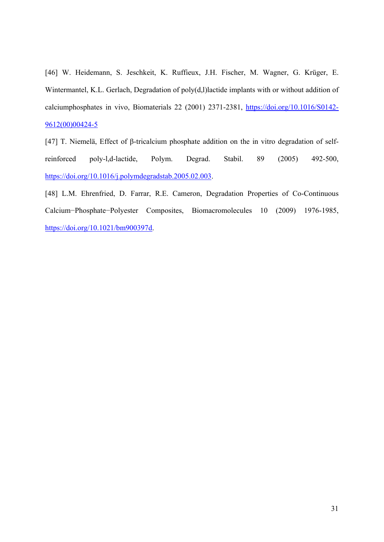[46] W. Heidemann, S. Jeschkeit, K. Ruffieux, J.H. Fischer, M. Wagner, G. Krüger, E. Wintermantel, K.L. Gerlach, Degradation of poly(d,l)lactide implants with or without addition of calciumphosphates in vivo, Biomaterials 22 (2001) 2371-2381, https://doi.org/10.1016/S0142- 9612(00)00424-5

[47] T. Niemelä, Effect of β-tricalcium phosphate addition on the in vitro degradation of selfreinforced poly-l,d-lactide, Polym. Degrad. Stabil. 89 (2005) 492-500, https://doi.org/10.1016/j.polymdegradstab.2005.02.003.

[48] L.M. Ehrenfried, D. Farrar, R.E. Cameron, Degradation Properties of Co-Continuous Calcium−Phosphate−Polyester Composites, Biomacromolecules 10 (2009) 1976-1985, https://doi.org/10.1021/bm900397d.